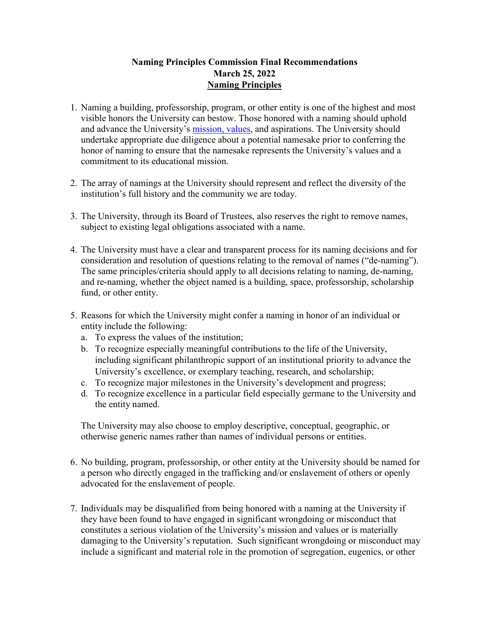# **Naming Principles Commission Final Recommendations March 25, 2022 Naming Principles**

- 1. Naming a building, professorship, program, or other entity is one of the highest and most visible honors the University can bestow. Those honored with a naming should uphold and advance the University's [mission, values,](https://strategicplan.richmond.edu/mission/index.html) and aspirations. The University should undertake appropriate due diligence about a potential namesake prior to conferring the honor of naming to ensure that the namesake represents the University's values and a commitment to its educational mission.
- 2. The array of namings at the University should represent and reflect the diversity of the institution's full history and the community we are today.
- 3. The University, through its Board of Trustees, also reserves the right to remove names, subject to existing legal obligations associated with a name.
- 4. The University must have a clear and transparent process for its naming decisions and for consideration and resolution of questions relating to the removal of names ("de-naming"). The same principles/criteria should apply to all decisions relating to naming, de-naming, and re-naming, whether the object named is a building, space, professorship, scholarship fund, or other entity.
- 5. Reasons for which the University might confer a naming in honor of an individual or entity include the following:
	- a. To express the values of the institution;
	- b. To recognize especially meaningful contributions to the life of the University, including significant philanthropic support of an institutional priority to advance the University's excellence, or exemplary teaching, research, and scholarship;
	- c. To recognize major milestones in the University's development and progress;
	- d. To recognize excellence in a particular field especially germane to the University and the entity named.

The University may also choose to employ descriptive, conceptual, geographic, or otherwise generic names rather than names of individual persons or entities.

- 6. No building, program, professorship, or other entity at the University should be named for a person who directly engaged in the trafficking and/or enslavement of others or openly advocated for the enslavement of people.
- 7. Individuals may be disqualified from being honored with a naming at the University if they have been found to have engaged in significant wrongdoing or misconduct that constitutes a serious violation of the University's mission and values or is materially damaging to the University's reputation. Such significant wrongdoing or misconduct may include a significant and material role in the promotion of segregation, eugenics, or other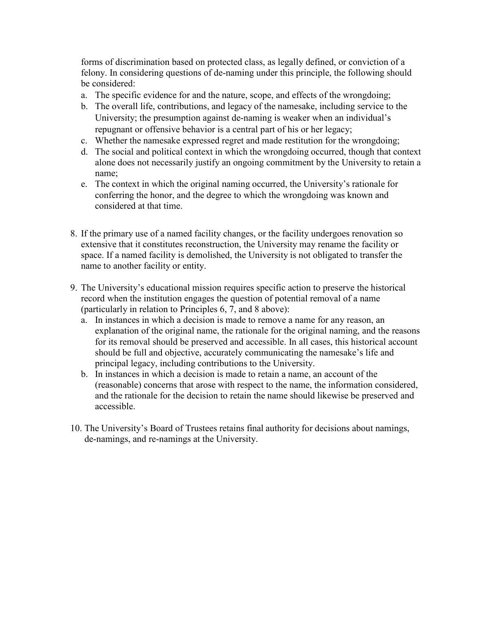forms of discrimination based on protected class, as legally defined, or conviction of a felony. In considering questions of de-naming under this principle, the following should be considered:

- a. The specific evidence for and the nature, scope, and effects of the wrongdoing;
- b. The overall life, contributions, and legacy of the namesake, including service to the University; the presumption against de-naming is weaker when an individual's repugnant or offensive behavior is a central part of his or her legacy;
- c. Whether the namesake expressed regret and made restitution for the wrongdoing;
- d. The social and political context in which the wrongdoing occurred, though that context alone does not necessarily justify an ongoing commitment by the University to retain a name;
- e. The context in which the original naming occurred, the University's rationale for conferring the honor, and the degree to which the wrongdoing was known and considered at that time.
- 8. If the primary use of a named facility changes, or the facility undergoes renovation so extensive that it constitutes reconstruction, the University may rename the facility or space. If a named facility is demolished, the University is not obligated to transfer the name to another facility or entity.
- 9. The University's educational mission requires specific action to preserve the historical record when the institution engages the question of potential removal of a name (particularly in relation to Principles 6, 7, and 8 above):
	- a. In instances in which a decision is made to remove a name for any reason, an explanation of the original name, the rationale for the original naming, and the reasons for its removal should be preserved and accessible. In all cases, this historical account should be full and objective, accurately communicating the namesake's life and principal legacy, including contributions to the University.
	- b. In instances in which a decision is made to retain a name, an account of the (reasonable) concerns that arose with respect to the name, the information considered, and the rationale for the decision to retain the name should likewise be preserved and accessible.
- 10. The University's Board of Trustees retains final authority for decisions about namings, de-namings, and re-namings at the University.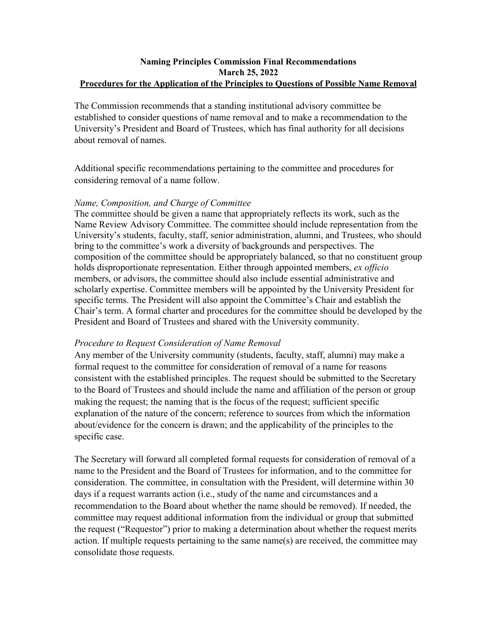### **Naming Principles Commission Final Recommendations March 25, 2022 Procedures for the Application of the Principles to Questions of Possible Name Removal**

The Commission recommends that a standing institutional advisory committee be established to consider questions of name removal and to make a recommendation to the University's President and Board of Trustees, which has final authority for all decisions about removal of names.

Additional specific recommendations pertaining to the committee and procedures for considering removal of a name follow.

### *Name, Composition, and Charge of Committee*

The committee should be given a name that appropriately reflects its work, such as the Name Review Advisory Committee. The committee should include representation from the University's students, faculty, staff, senior administration, alumni, and Trustees, who should bring to the committee's work a diversity of backgrounds and perspectives. The composition of the committee should be appropriately balanced, so that no constituent group holds disproportionate representation. Either through appointed members, *ex officio*  members, or advisors, the committee should also include essential administrative and scholarly expertise. Committee members will be appointed by the University President for specific terms. The President will also appoint the Committee's Chair and establish the Chair's term. A formal charter and procedures for the committee should be developed by the President and Board of Trustees and shared with the University community.

### *Procedure to Request Consideration of Name Removal*

Any member of the University community (students, faculty, staff, alumni) may make a formal request to the committee for consideration of removal of a name for reasons consistent with the established principles. The request should be submitted to the Secretary to the Board of Trustees and should include the name and affiliation of the person or group making the request; the naming that is the focus of the request; sufficient specific explanation of the nature of the concern; reference to sources from which the information about/evidence for the concern is drawn; and the applicability of the principles to the specific case.

The Secretary will forward all completed formal requests for consideration of removal of a name to the President and the Board of Trustees for information, and to the committee for consideration. The committee, in consultation with the President, will determine within 30 days if a request warrants action (i.e., study of the name and circumstances and a recommendation to the Board about whether the name should be removed). If needed, the committee may request additional information from the individual or group that submitted the request ("Requestor") prior to making a determination about whether the request merits action. If multiple requests pertaining to the same name(s) are received, the committee may consolidate those requests.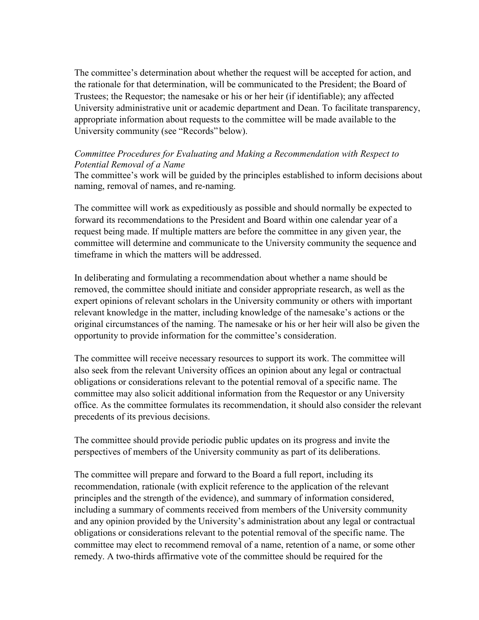The committee's determination about whether the request will be accepted for action, and the rationale for that determination, will be communicated to the President; the Board of Trustees; the Requestor; the namesake or his or her heir (if identifiable); any affected University administrative unit or academic department and Dean. To facilitate transparency, appropriate information about requests to the committee will be made available to the University community (see "Records" below).

# *Committee Procedures for Evaluating and Making a Recommendation with Respect to Potential Removal of a Name*

The committee's work will be guided by the principles established to inform decisions about naming, removal of names, and re-naming.

The committee will work as expeditiously as possible and should normally be expected to forward its recommendations to the President and Board within one calendar year of a request being made. If multiple matters are before the committee in any given year, the committee will determine and communicate to the University community the sequence and timeframe in which the matters will be addressed.

In deliberating and formulating a recommendation about whether a name should be removed, the committee should initiate and consider appropriate research, as well as the expert opinions of relevant scholars in the University community or others with important relevant knowledge in the matter, including knowledge of the namesake's actions or the original circumstances of the naming. The namesake or his or her heir will also be given the opportunity to provide information for the committee's consideration.

The committee will receive necessary resources to support its work. The committee will also seek from the relevant University offices an opinion about any legal or contractual obligations or considerations relevant to the potential removal of a specific name. The committee may also solicit additional information from the Requestor or any University office. As the committee formulates its recommendation, it should also consider the relevant precedents of its previous decisions.

The committee should provide periodic public updates on its progress and invite the perspectives of members of the University community as part of its deliberations.

The committee will prepare and forward to the Board a full report, including its recommendation, rationale (with explicit reference to the application of the relevant principles and the strength of the evidence), and summary of information considered, including a summary of comments received from members of the University community and any opinion provided by the University's administration about any legal or contractual obligations or considerations relevant to the potential removal of the specific name. The committee may elect to recommend removal of a name, retention of a name, or some other remedy. A two-thirds affirmative vote of the committee should be required for the